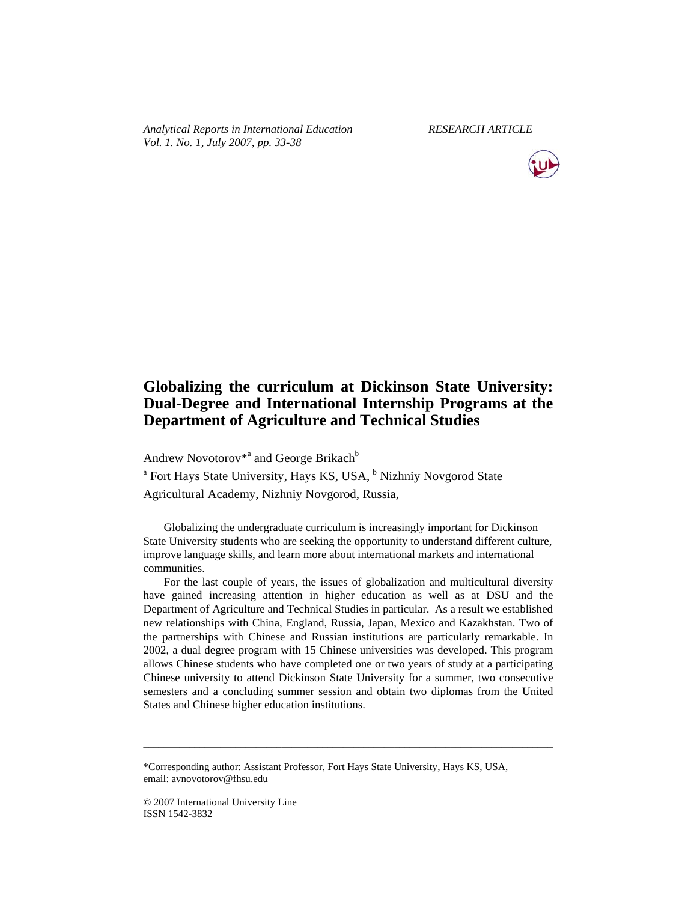*Analytical Reports in International Education RESEARCH ARTICLE Vol. 1. No. 1, July 2007, pp. 33-38* 



# **Globalizing the curriculum at Dickinson State University: Dual-Degree and International Internship Programs at the Department of Agriculture and Technical Studies**

Andrew Novotorov<sup>\*a</sup> and George Brikach<sup>b</sup>

<sup>a</sup> Fort Hays State University, Hays KS, USA, <sup>b</sup> Nizhniy Novgorod State Agricultural Academy, Nizhniy Novgorod, Russia,

Globalizing the undergraduate curriculum is increasingly important for Dickinson State University students who are seeking the opportunity to understand different culture, improve language skills, and learn more about international markets and international communities.

For the last couple of years, the issues of globalization and multicultural diversity have gained increasing attention in higher education as well as at DSU and the Department of Agriculture and Technical Studies in particular. As a result we established new relationships with China, England, Russia, Japan, Mexico and Kazakhstan. Two of the partnerships with Chinese and Russian institutions are particularly remarkable. In 2002, a dual degree program with 15 Chinese universities was developed. This program allows Chinese students who have completed one or two years of study at a participating Chinese university to attend Dickinson State University for a summer, two consecutive semesters and a concluding summer session and obtain two diplomas from the United States and Chinese higher education institutions.

\_\_\_\_\_\_\_\_\_\_\_\_\_\_\_\_\_\_\_\_\_\_\_\_\_\_\_\_\_\_\_\_\_\_\_\_\_\_\_\_\_\_\_\_\_\_\_\_\_\_\_\_\_\_\_\_\_\_\_\_\_\_\_\_\_\_\_\_\_\_\_\_\_\_\_\_\_\_\_\_

<sup>\*</sup>Corresponding author: Assistant Professor, Fort Hays State University, Hays KS, USA, email: avnovotorov@fhsu.edu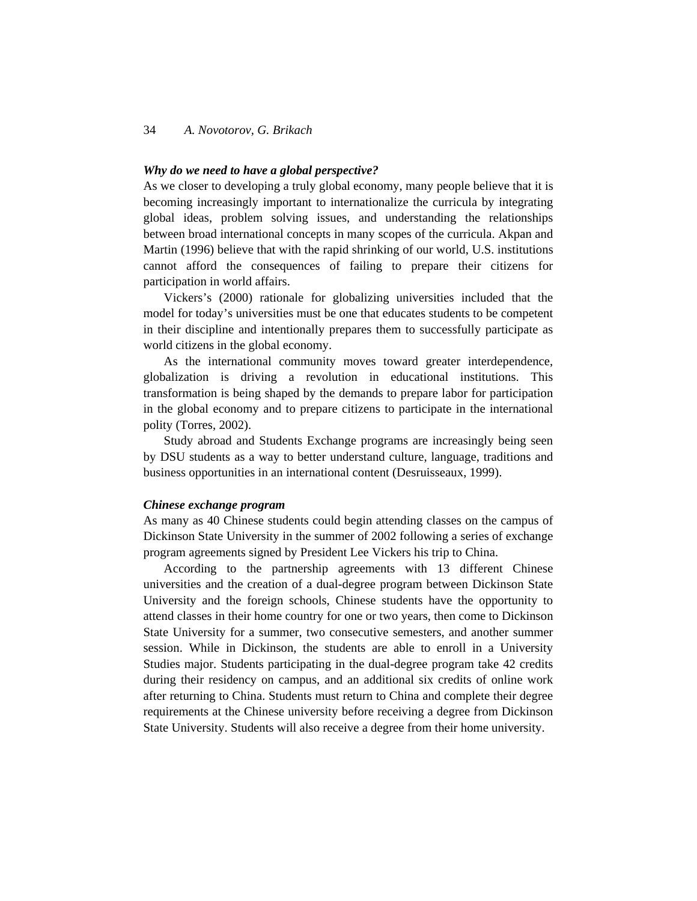# 34 *A. Novotorov, G. Brikach*

## *Why do we need to have a global perspective?*

As we closer to developing a truly global economy, many people believe that it is becoming increasingly important to internationalize the curricula by integrating global ideas, problem solving issues, and understanding the relationships between broad international concepts in many scopes of the curricula. Akpan and Martin (1996) believe that with the rapid shrinking of our world, U.S. institutions cannot afford the consequences of failing to prepare their citizens for participation in world affairs.

Vickers's (2000) rationale for globalizing universities included that the model for today's universities must be one that educates students to be competent in their discipline and intentionally prepares them to successfully participate as world citizens in the global economy.

As the international community moves toward greater interdependence, globalization is driving a revolution in educational institutions. This transformation is being shaped by the demands to prepare labor for participation in the global economy and to prepare citizens to participate in the international polity (Torres, 2002).

Study abroad and Students Exchange programs are increasingly being seen by DSU students as a way to better understand culture, language, traditions and business opportunities in an international content (Desruisseaux, 1999).

#### *Chinese exchange program*

As many as 40 Chinese students could begin attending classes on the campus of Dickinson State University in the summer of 2002 following a series of exchange program agreements signed by President Lee Vickers his trip to China.

According to the partnership agreements with 13 different Chinese universities and the creation of a dual-degree program between Dickinson State University and the foreign schools, Chinese students have the opportunity to attend classes in their home country for one or two years, then come to Dickinson State University for a summer, two consecutive semesters, and another summer session. While in Dickinson, the students are able to enroll in a University Studies major. Students participating in the dual-degree program take 42 credits during their residency on campus, and an additional six credits of online work after returning to China. Students must return to China and complete their degree requirements at the Chinese university before receiving a degree from Dickinson State University. Students will also receive a degree from their home university.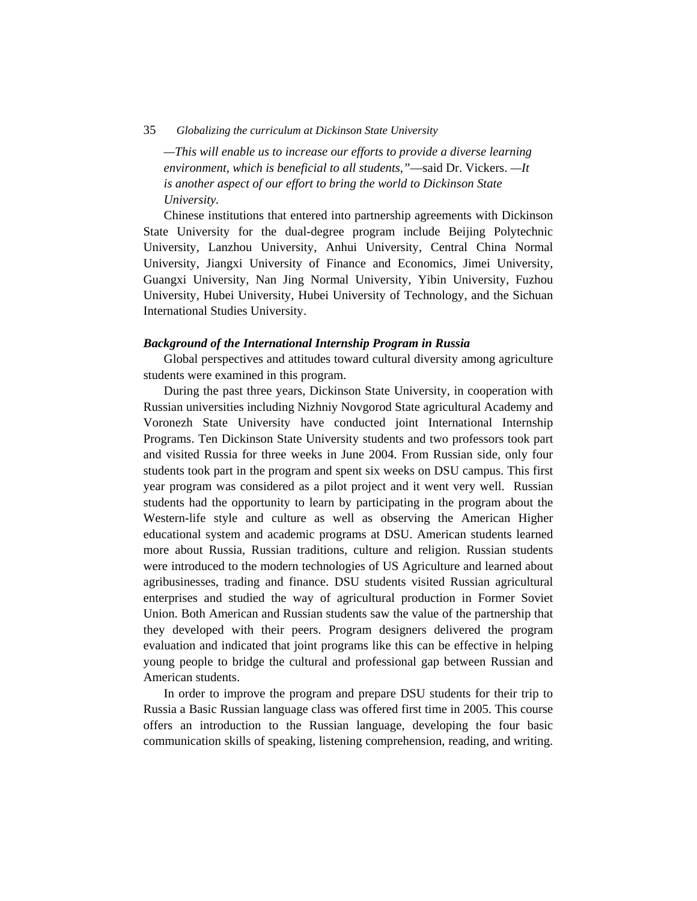#### 35 *Globalizing the curriculum at Dickinson State University*

*—This will enable us to increase our efforts to provide a diverse learning environment, which is beneficial to all students,"*—said Dr. Vickers. *—It is another aspect of our effort to bring the world to Dickinson State University.*

Chinese institutions that entered into partnership agreements with Dickinson State University for the dual-degree program include Beijing Polytechnic University, Lanzhou University, Anhui University, Central China Normal University, Jiangxi University of Finance and Economics, Jimei University, Guangxi University, Nan Jing Normal University, Yibin University, Fuzhou University, Hubei University, Hubei University of Technology, and the Sichuan International Studies University.

#### *Background of the International Internship Program in Russia*

Global perspectives and attitudes toward cultural diversity among agriculture students were examined in this program.

During the past three years, Dickinson State University, in cooperation with Russian universities including Nizhniy Novgorod State agricultural Academy and Voronezh State University have conducted joint International Internship Programs. Ten Dickinson State University students and two professors took part and visited Russia for three weeks in June 2004. From Russian side, only four students took part in the program and spent six weeks on DSU campus. This first year program was considered as a pilot project and it went very well. Russian students had the opportunity to learn by participating in the program about the Western-life style and culture as well as observing the American Higher educational system and academic programs at DSU. American students learned more about Russia, Russian traditions, culture and religion. Russian students were introduced to the modern technologies of US Agriculture and learned about agribusinesses, trading and finance. DSU students visited Russian agricultural enterprises and studied the way of agricultural production in Former Soviet Union. Both American and Russian students saw the value of the partnership that they developed with their peers. Program designers delivered the program evaluation and indicated that joint programs like this can be effective in helping young people to bridge the cultural and professional gap between Russian and American students.

In order to improve the program and prepare DSU students for their trip to Russia a Basic Russian language class was offered first time in 2005. This course offers an introduction to the Russian language, developing the four basic communication skills of speaking, listening comprehension, reading, and writing.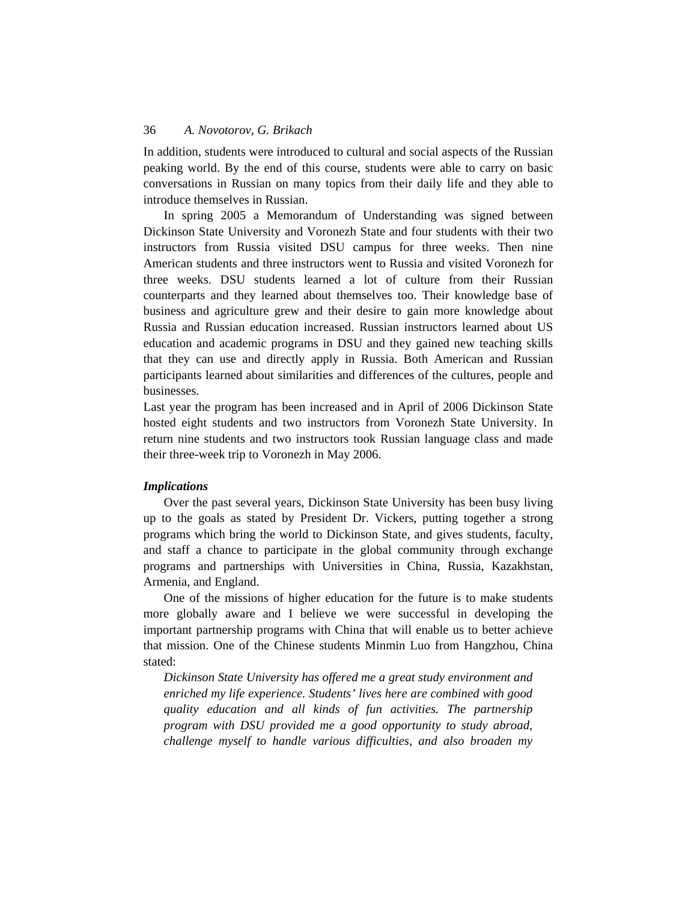## 36 *A. Novotorov, G. Brikach*

In addition, students were introduced to cultural and social aspects of the Russian peaking world. By the end of this course, students were able to carry on basic conversations in Russian on many topics from their daily life and they able to introduce themselves in Russian.

In spring 2005 a Memorandum of Understanding was signed between Dickinson State University and Voronezh State and four students with their two instructors from Russia visited DSU campus for three weeks. Then nine American students and three instructors went to Russia and visited Voronezh for three weeks. DSU students learned a lot of culture from their Russian counterparts and they learned about themselves too. Their knowledge base of business and agriculture grew and their desire to gain more knowledge about Russia and Russian education increased. Russian instructors learned about US education and academic programs in DSU and they gained new teaching skills that they can use and directly apply in Russia. Both American and Russian participants learned about similarities and differences of the cultures, people and businesses.

Last year the program has been increased and in April of 2006 Dickinson State hosted eight students and two instructors from Voronezh State University. In return nine students and two instructors took Russian language class and made their three-week trip to Voronezh in May 2006.

# *Implications*

Over the past several years, Dickinson State University has been busy living up to the goals as stated by President Dr. Vickers, putting together a strong programs which bring the world to Dickinson State, and gives students, faculty, and staff a chance to participate in the global community through exchange programs and partnerships with Universities in China, Russia, Kazakhstan, Armenia, and England.

One of the missions of higher education for the future is to make students more globally aware and I believe we were successful in developing the important partnership programs with China that will enable us to better achieve that mission. One of the Chinese students Minmin Luo from Hangzhou, China stated:

*Dickinson State University has offered me a great study environment and enriched my life experience. Students' lives here are combined with good quality education and all kinds of fun activities. The partnership program with DSU provided me a good opportunity to study abroad, challenge myself to handle various difficulties, and also broaden my*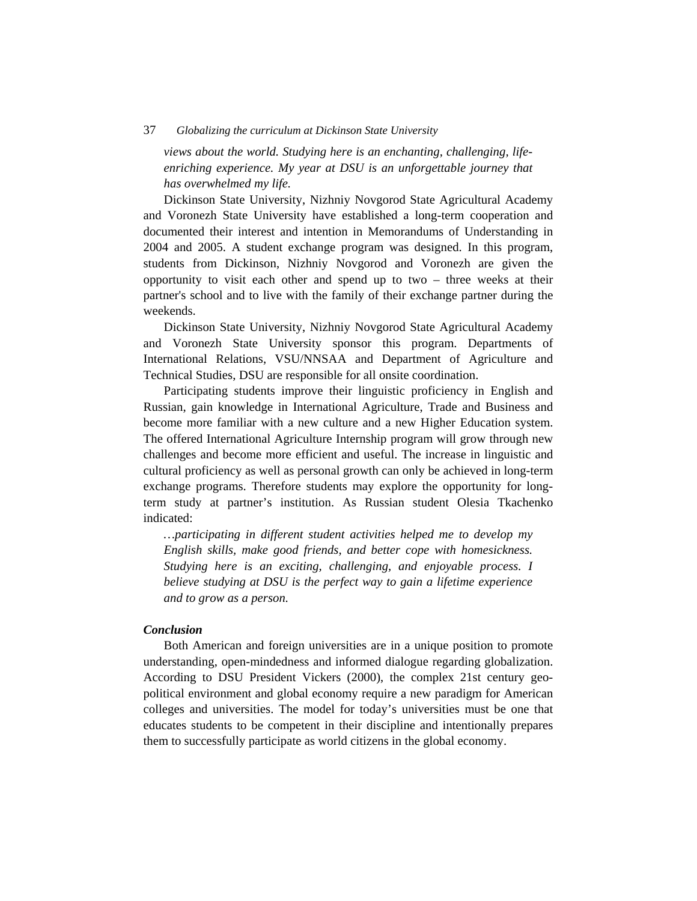## 37 *Globalizing the curriculum at Dickinson State University*

*views about the world. Studying here is an enchanting, challenging, lifeenriching experience. My year at DSU is an unforgettable journey that has overwhelmed my life.* 

Dickinson State University, Nizhniy Novgorod State Agricultural Academy and Voronezh State University have established a long-term cooperation and documented their interest and intention in Memorandums of Understanding in 2004 and 2005. A student exchange program was designed. In this program, students from Dickinson, Nizhniy Novgorod and Voronezh are given the opportunity to visit each other and spend up to two – three weeks at their partner's school and to live with the family of their exchange partner during the weekends.

Dickinson State University, Nizhniy Novgorod State Agricultural Academy and Voronezh State University sponsor this program. Departments of International Relations, VSU/NNSAA and Department of Agriculture and Technical Studies, DSU are responsible for all onsite coordination.

Participating students improve their linguistic proficiency in English and Russian, gain knowledge in International Agriculture, Trade and Business and become more familiar with a new culture and a new Higher Education system. The offered International Agriculture Internship program will grow through new challenges and become more efficient and useful. The increase in linguistic and cultural proficiency as well as personal growth can only be achieved in long-term exchange programs. Therefore students may explore the opportunity for longterm study at partner's institution. As Russian student Olesia Tkachenko indicated:

*…participating in different student activities helped me to develop my English skills, make good friends, and better cope with homesickness. Studying here is an exciting, challenging, and enjoyable process. I believe studying at DSU is the perfect way to gain a lifetime experience and to grow as a person.* 

# *Conclusion*

Both American and foreign universities are in a unique position to promote understanding, open-mindedness and informed dialogue regarding globalization. According to DSU President Vickers (2000), the complex 21st century geopolitical environment and global economy require a new paradigm for American colleges and universities. The model for today's universities must be one that educates students to be competent in their discipline and intentionally prepares them to successfully participate as world citizens in the global economy.